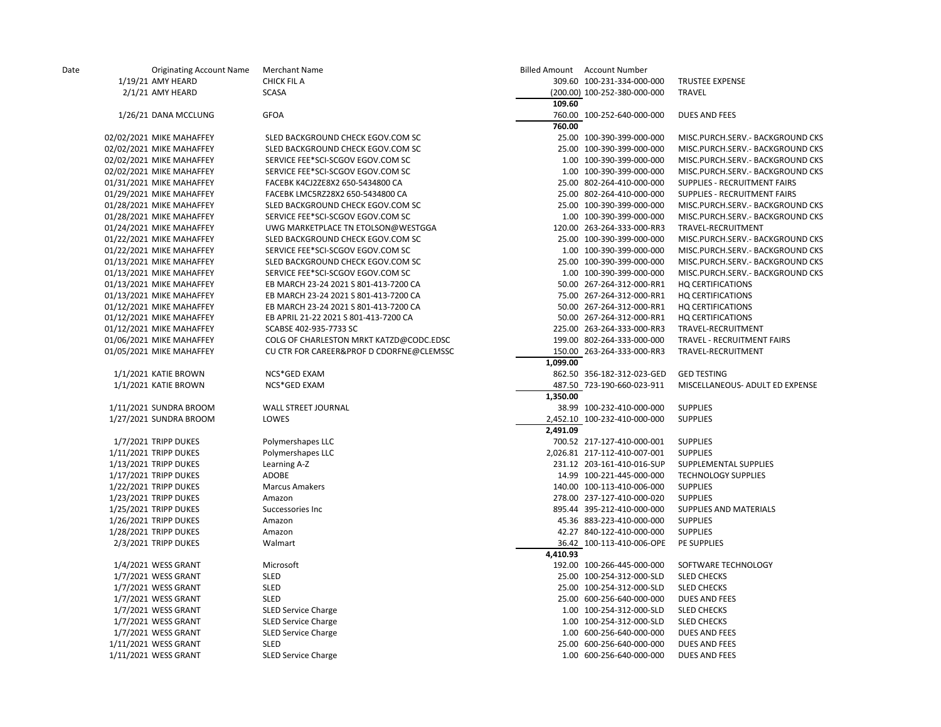| Date | <b>Originating Account Name</b> | <b>Merchant Name</b>                     | Billed Amount Account Number |                                   |
|------|---------------------------------|------------------------------------------|------------------------------|-----------------------------------|
|      | 1/19/21 AMY HEARD               | <b>CHICK FIL A</b>                       | 309.60 100-231-334-000-000   | <b>TRUSTEE EXPENSE</b>            |
|      | 2/1/21 AMY HEARD                | <b>SCASA</b>                             | (200.00) 100-252-380-000-000 | TRAVEL                            |
|      |                                 |                                          | 109.60                       |                                   |
|      | 1/26/21 DANA MCCLUNG            | <b>GFOA</b>                              | 760.00 100-252-640-000-000   | <b>DUES AND FEES</b>              |
|      |                                 |                                          | 760.00                       |                                   |
|      | 02/02/2021 MIKE MAHAFFEY        | SLED BACKGROUND CHECK EGOV.COM SC        | 25.00 100-390-399-000-000    | MISC.PURCH.SERV.- BACKGROUND CKS  |
|      | 02/02/2021 MIKE MAHAFFEY        | SLED BACKGROUND CHECK EGOV.COM SC        | 25.00 100-390-399-000-000    | MISC.PURCH.SERV.- BACKGROUND CKS  |
|      | 02/02/2021 MIKE MAHAFFEY        | SERVICE FEE*SCI-SCGOV EGOV.COM SC        | 1.00 100-390-399-000-000     | MISC.PURCH.SERV.- BACKGROUND CKS  |
|      | 02/02/2021 MIKE MAHAFFEY        | SERVICE FEE*SCI-SCGOV EGOV.COM SC        | 1.00 100-390-399-000-000     | MISC.PURCH.SERV.- BACKGROUND CKS  |
|      | 01/31/2021 MIKE MAHAFFEY        | FACEBK K4CJ2ZE8X2 650-5434800 CA         | 25.00 802-264-410-000-000    | SUPPLIES - RECRUITMENT FAIRS      |
|      | 01/29/2021 MIKE MAHAFFEY        | FACEBK LMC5RZ28X2 650-5434800 CA         | 25.00 802-264-410-000-000    | SUPPLIES - RECRUITMENT FAIRS      |
|      | 01/28/2021 MIKE MAHAFFEY        | SLED BACKGROUND CHECK EGOV.COM SC        | 25.00 100-390-399-000-000    | MISC.PURCH.SERV.- BACKGROUND CKS  |
|      | 01/28/2021 MIKE MAHAFFEY        | SERVICE FEE*SCI-SCGOV EGOV.COM SC        | 1.00 100-390-399-000-000     | MISC.PURCH.SERV.- BACKGROUND CKS  |
|      | 01/24/2021 MIKE MAHAFFEY        | UWG MARKETPLACE TN ETOLSON@WESTGGA       | 120.00 263-264-333-000-RR3   | TRAVEL-RECRUITMENT                |
|      | 01/22/2021 MIKE MAHAFFEY        | SLED BACKGROUND CHECK EGOV.COM SC        | 25.00 100-390-399-000-000    | MISC.PURCH.SERV.- BACKGROUND CKS  |
|      | 01/22/2021 MIKE MAHAFFEY        | SERVICE FEE*SCI-SCGOV EGOV.COM SC        | 1.00 100-390-399-000-000     | MISC.PURCH.SERV.- BACKGROUND CKS  |
|      | 01/13/2021 MIKE MAHAFFEY        | SLED BACKGROUND CHECK EGOV.COM SC        | 25.00 100-390-399-000-000    | MISC.PURCH.SERV.- BACKGROUND CKS  |
|      | 01/13/2021 MIKE MAHAFFEY        | SERVICE FEE*SCI-SCGOV EGOV.COM SC        | 1.00 100-390-399-000-000     | MISC.PURCH.SERV.- BACKGROUND CKS  |
|      | 01/13/2021 MIKE MAHAFFEY        | EB MARCH 23-24 2021 S 801-413-7200 CA    | 50.00 267-264-312-000-RR1    | <b>HQ CERTIFICATIONS</b>          |
|      | 01/13/2021 MIKE MAHAFFEY        | EB MARCH 23-24 2021 S 801-413-7200 CA    | 75.00 267-264-312-000-RR1    | <b>HQ CERTIFICATIONS</b>          |
|      | 01/12/2021 MIKE MAHAFFEY        | EB MARCH 23-24 2021 S 801-413-7200 CA    | 50.00 267-264-312-000-RR1    | <b>HQ CERTIFICATIONS</b>          |
|      | 01/12/2021 MIKE MAHAFFEY        | EB APRIL 21-22 2021 S 801-413-7200 CA    | 50.00 267-264-312-000-RR1    | <b>HQ CERTIFICATIONS</b>          |
|      | 01/12/2021 MIKE MAHAFFEY        | SCABSE 402-935-7733 SC                   | 225.00 263-264-333-000-RR3   | TRAVEL-RECRUITMENT                |
|      | 01/06/2021 MIKE MAHAFFEY        | COLG OF CHARLESTON MRKT KATZD@CODC.EDSC  | 199.00 802-264-333-000-000   | <b>TRAVEL - RECRUITMENT FAIRS</b> |
|      | 01/05/2021 MIKE MAHAFFEY        | CU CTR FOR CAREER&PROF D CDORFNE@CLEMSSC | 150.00 263-264-333-000-RR3   | TRAVEL-RECRUITMENT                |
|      |                                 |                                          | 1,099.00                     |                                   |
|      | 1/1/2021 KATIE BROWN            | NCS*GED EXAM                             | 862.50 356-182-312-023-GED   | <b>GED TESTING</b>                |
|      | 1/1/2021 KATIE BROWN            | NCS*GED EXAM                             | 487.50 723-190-660-023-911   | MISCELLANEOUS- ADULT ED EXPENSE   |
|      |                                 |                                          | 1,350.00                     |                                   |
|      | 1/11/2021 SUNDRA BROOM          | WALL STREET JOURNAL                      | 38.99 100-232-410-000-000    | <b>SUPPLIES</b>                   |
|      | 1/27/2021 SUNDRA BROOM          | LOWES                                    | 2,452.10 100-232-410-000-000 | <b>SUPPLIES</b>                   |
|      |                                 |                                          | 2,491.09                     |                                   |
|      | 1/7/2021 TRIPP DUKES            | Polymershapes LLC                        | 700.52 217-127-410-000-001   | <b>SUPPLIES</b>                   |
|      | 1/11/2021 TRIPP DUKES           | Polymershapes LLC                        | 2,026.81 217-112-410-007-001 | <b>SUPPLIES</b>                   |
|      | 1/13/2021 TRIPP DUKES           | Learning A-Z                             | 231.12 203-161-410-016-SUP   | SUPPLEMENTAL SUPPLIES             |
|      | 1/17/2021 TRIPP DUKES           | ADOBE                                    | 14.99 100-221-445-000-000    | <b>TECHNOLOGY SUPPLIES</b>        |
|      | 1/22/2021 TRIPP DUKES           | <b>Marcus Amakers</b>                    | 140.00 100-113-410-006-000   | <b>SUPPLIES</b>                   |
|      | 1/23/2021 TRIPP DUKES           | Amazon                                   | 278.00 237-127-410-000-020   | <b>SUPPLIES</b>                   |
|      | 1/25/2021 TRIPP DUKES           | Successories Inc                         | 895.44 395-212-410-000-000   | SUPPLIES AND MATERIALS            |
|      | 1/26/2021 TRIPP DUKES           | Amazon                                   | 45.36 883-223-410-000-000    | <b>SUPPLIES</b>                   |
|      | 1/28/2021 TRIPP DUKES           | Amazon                                   | 42.27 840-122-410-000-000    | <b>SUPPLIES</b>                   |
|      | 2/3/2021 TRIPP DUKES            | Walmart                                  | 36.42 100-113-410-006-OPE    | PE SUPPLIES                       |
|      |                                 |                                          | 4,410.93                     |                                   |
|      | 1/4/2021 WESS GRANT             | Microsoft                                | 192.00 100-266-445-000-000   | SOFTWARE TECHNOLOGY               |
|      | 1/7/2021 WESS GRANT             | <b>SLED</b>                              | 25.00 100-254-312-000-SLD    | <b>SLED CHECKS</b>                |
|      | 1/7/2021 WESS GRANT             | <b>SLED</b>                              | 25.00 100-254-312-000-SLD    | <b>SLED CHECKS</b>                |
|      | 1/7/2021 WESS GRANT             | <b>SLED</b>                              | 25.00 600-256-640-000-000    | <b>DUES AND FEES</b>              |
|      | 1/7/2021 WESS GRANT             | <b>SLED Service Charge</b>               | 1.00 100-254-312-000-SLD     | <b>SLED CHECKS</b>                |
|      | 1/7/2021 WESS GRANT             | <b>SLED Service Charge</b>               | 1.00 100-254-312-000-SLD     | <b>SLED CHECKS</b>                |
|      | 1/7/2021 WESS GRANT             | <b>SLED Service Charge</b>               | 1.00 600-256-640-000-000     | <b>DUES AND FEES</b>              |
|      | 1/11/2021 WESS GRANT            | <b>SLED</b>                              | 25.00 600-256-640-000-000    | <b>DUES AND FEES</b>              |
|      | 1/11/2021 WESS GRANT            | <b>SLED Service Charge</b>               | 1.00 600-256-640-000-000     | <b>DUES AND FEES</b>              |
|      |                                 |                                          |                              |                                   |